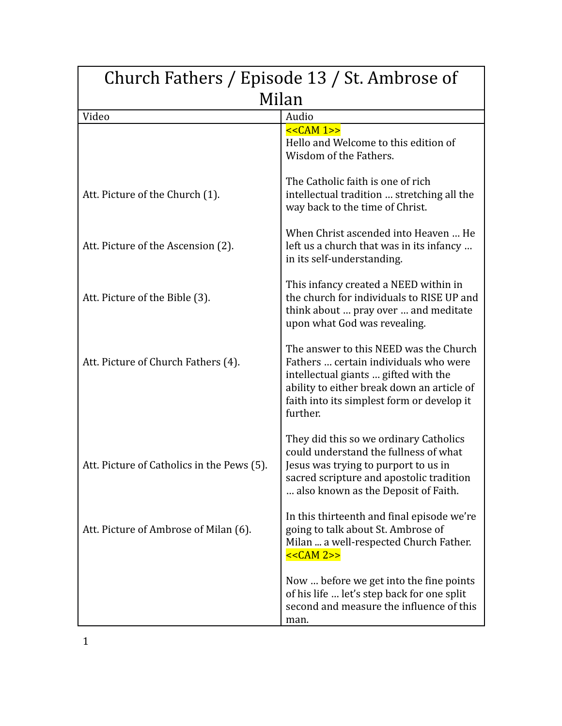| Church Fathers / Episode 13 / St. Ambrose of |                                                                                                                                                                                                                                 |  |
|----------------------------------------------|---------------------------------------------------------------------------------------------------------------------------------------------------------------------------------------------------------------------------------|--|
| Milan                                        |                                                                                                                                                                                                                                 |  |
| Video                                        | Audio                                                                                                                                                                                                                           |  |
|                                              | << <b>CAM</b> 1>><br>Hello and Welcome to this edition of<br>Wisdom of the Fathers.                                                                                                                                             |  |
| Att. Picture of the Church (1).              | The Catholic faith is one of rich<br>intellectual tradition  stretching all the<br>way back to the time of Christ.                                                                                                              |  |
| Att. Picture of the Ascension (2).           | When Christ ascended into Heaven  He<br>left us a church that was in its infancy<br>in its self-understanding.                                                                                                                  |  |
| Att. Picture of the Bible (3).               | This infancy created a NEED within in<br>the church for individuals to RISE UP and<br>think about  pray over  and meditate<br>upon what God was revealing.                                                                      |  |
| Att. Picture of Church Fathers (4).          | The answer to this NEED was the Church<br>Fathers  certain individuals who were<br>intellectual giants  gifted with the<br>ability to either break down an article of<br>faith into its simplest form or develop it<br>further. |  |
| Att. Picture of Catholics in the Pews (5).   | They did this so we ordinary Catholics<br>could understand the fullness of what<br>Jesus was trying to purport to us in<br>sacred scripture and apostolic tradition<br>also known as the Deposit of Faith.                      |  |
| Att. Picture of Ambrose of Milan (6).        | In this thirteenth and final episode we're<br>going to talk about St. Ambrose of<br>Milan  a well-respected Church Father.<br>$<<CAM 2>>$                                                                                       |  |
|                                              | Now  before we get into the fine points<br>of his life  let's step back for one split<br>second and measure the influence of this<br>man.                                                                                       |  |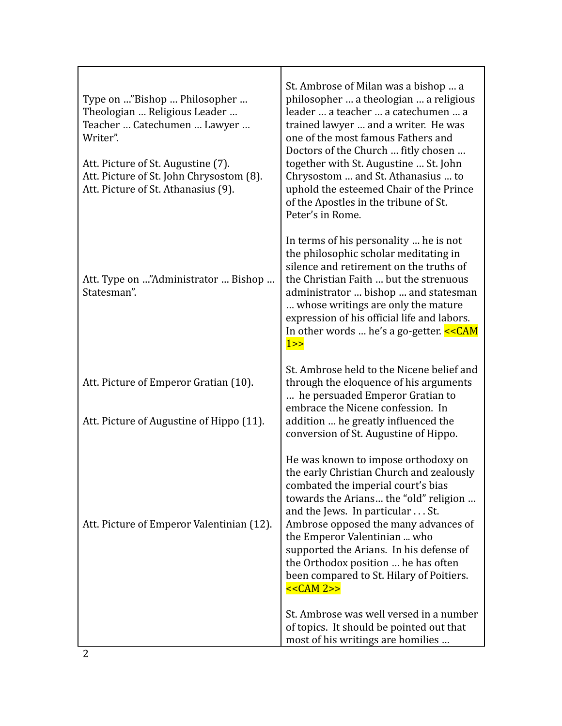| Type on "Bishop  Philosopher<br>Theologian  Religious Leader<br>Teacher  Catechumen  Lawyer<br>Writer".<br>Att. Picture of St. Augustine (7).<br>Att. Picture of St. John Chrysostom (8).<br>Att. Picture of St. Athanasius (9). | St. Ambrose of Milan was a bishop  a<br>philosopher  a theologian  a religious<br>leader  a teacher  a catechumen  a<br>trained lawyer  and a writer. He was<br>one of the most famous Fathers and<br>Doctors of the Church  fitly chosen<br>together with St. Augustine  St. John<br>Chrysostom  and St. Athanasius  to<br>uphold the esteemed Chair of the Prince<br>of the Apostles in the tribune of St.<br>Peter's in Rome. |
|----------------------------------------------------------------------------------------------------------------------------------------------------------------------------------------------------------------------------------|----------------------------------------------------------------------------------------------------------------------------------------------------------------------------------------------------------------------------------------------------------------------------------------------------------------------------------------------------------------------------------------------------------------------------------|
| Att. Type on "Administrator  Bishop<br>Statesman".                                                                                                                                                                               | In terms of his personality  he is not<br>the philosophic scholar meditating in<br>silence and retirement on the truths of<br>the Christian Faith  but the strenuous<br>administrator  bishop  and statesman<br>whose writings are only the mature<br>expression of his official life and labors.<br>In other words  he's a go-getter. $<1>>$                                                                                    |
| Att. Picture of Emperor Gratian (10).<br>Att. Picture of Augustine of Hippo (11).                                                                                                                                                | St. Ambrose held to the Nicene belief and<br>through the eloquence of his arguments<br>he persuaded Emperor Gratian to<br>embrace the Nicene confession. In<br>addition  he greatly influenced the<br>conversion of St. Augustine of Hippo.                                                                                                                                                                                      |
| Att. Picture of Emperor Valentinian (12).                                                                                                                                                                                        | He was known to impose orthodoxy on<br>the early Christian Church and zealously<br>combated the imperial court's bias<br>towards the Arians the "old" religion<br>and the Jews. In particular St.<br>Ambrose opposed the many advances of<br>the Emperor Valentinian  who<br>supported the Arians. In his defense of<br>the Orthodox position  he has often<br>been compared to St. Hilary of Poitiers.<br>$<<CAM 2>>$           |
|                                                                                                                                                                                                                                  | St. Ambrose was well versed in a number<br>of topics. It should be pointed out that<br>most of his writings are homilies                                                                                                                                                                                                                                                                                                         |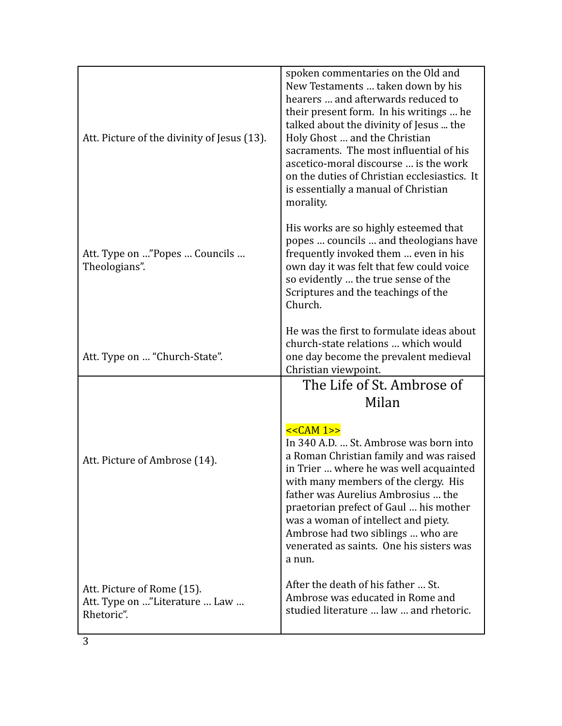| Att. Picture of the divinity of Jesus (13).    | spoken commentaries on the Old and<br>New Testaments  taken down by his<br>hearers  and afterwards reduced to<br>their present form. In his writings  he<br>talked about the divinity of Jesus  the<br>Holy Ghost  and the Christian<br>sacraments. The most influential of his<br>ascetico-moral discourse  is the work<br>on the duties of Christian ecclesiastics. It<br>is essentially a manual of Christian<br>morality. |
|------------------------------------------------|-------------------------------------------------------------------------------------------------------------------------------------------------------------------------------------------------------------------------------------------------------------------------------------------------------------------------------------------------------------------------------------------------------------------------------|
| Att. Type on "Popes  Councils<br>Theologians". | His works are so highly esteemed that<br>popes  councils  and theologians have<br>frequently invoked them  even in his<br>own day it was felt that few could voice<br>so evidently  the true sense of the<br>Scriptures and the teachings of the<br>Church.                                                                                                                                                                   |
| Att. Type on  "Church-State".                  | He was the first to formulate ideas about<br>church-state relations  which would<br>one day become the prevalent medieval<br>Christian viewpoint.                                                                                                                                                                                                                                                                             |
|                                                | The Life of St. Ambrose of<br>Milan                                                                                                                                                                                                                                                                                                                                                                                           |
| Att. Picture of Ambrose (14).                  | $<<CAM 1>>$<br>In 340 A.D.  St. Ambrose was born into                                                                                                                                                                                                                                                                                                                                                                         |
|                                                | a Roman Christian family and was raised<br>in Trier  where he was well acquainted<br>with many members of the clergy. His<br>father was Aurelius Ambrosius  the<br>praetorian prefect of Gaul  his mother<br>was a woman of intellect and piety.<br>Ambrose had two siblings  who are<br>venerated as saints. One his sisters was<br>a nun.                                                                                   |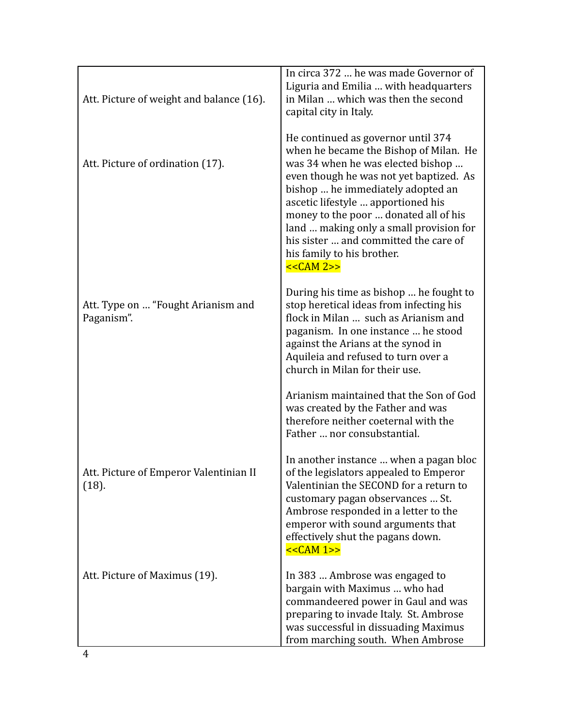| Att. Picture of weight and balance (16).         | In circa 372  he was made Governor of<br>Liguria and Emilia  with headquarters<br>in Milan  which was then the second<br>capital city in Italy.                                                                                                                                                                                                                                                                   |
|--------------------------------------------------|-------------------------------------------------------------------------------------------------------------------------------------------------------------------------------------------------------------------------------------------------------------------------------------------------------------------------------------------------------------------------------------------------------------------|
| Att. Picture of ordination (17).                 | He continued as governor until 374<br>when he became the Bishop of Milan. He<br>was 34 when he was elected bishop<br>even though he was not yet baptized. As<br>bishop  he immediately adopted an<br>ascetic lifestyle  apportioned his<br>money to the poor  donated all of his<br>land  making only a small provision for<br>his sister  and committed the care of<br>his family to his brother.<br>$<<CAM 2>>$ |
| Att. Type on  "Fought Arianism and<br>Paganism". | During his time as bishop  he fought to<br>stop heretical ideas from infecting his<br>flock in Milan  such as Arianism and<br>paganism. In one instance  he stood<br>against the Arians at the synod in<br>Aquileia and refused to turn over a<br>church in Milan for their use.                                                                                                                                  |
|                                                  | Arianism maintained that the Son of God<br>was created by the Father and was<br>therefore neither coeternal with the<br>Father  nor consubstantial.                                                                                                                                                                                                                                                               |
| Att. Picture of Emperor Valentinian II<br>(18).  | In another instance  when a pagan bloc<br>of the legislators appealed to Emperor<br>Valentinian the SECOND for a return to<br>customary pagan observances  St.<br>Ambrose responded in a letter to the<br>emperor with sound arguments that<br>effectively shut the pagans down.<br>$<<CAM 1>>$                                                                                                                   |
| Att. Picture of Maximus (19).                    | In 383  Ambrose was engaged to<br>bargain with Maximus  who had<br>commandeered power in Gaul and was<br>preparing to invade Italy. St. Ambrose<br>was successful in dissuading Maximus<br>from marching south. When Ambrose                                                                                                                                                                                      |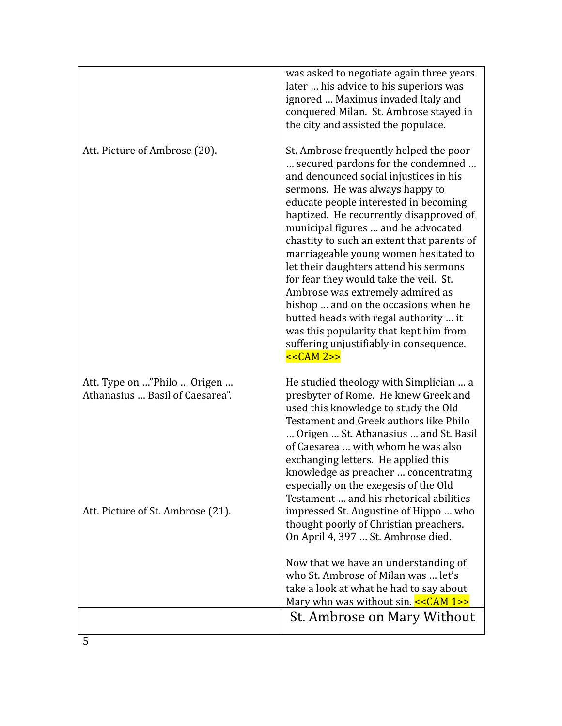|                                                                                                     | was asked to negotiate again three years<br>later  his advice to his superiors was<br>ignored  Maximus invaded Italy and<br>conquered Milan. St. Ambrose stayed in<br>the city and assisted the populace.                                                                                                                                                                                                                                                                                                                                                                                                                                                                               |
|-----------------------------------------------------------------------------------------------------|-----------------------------------------------------------------------------------------------------------------------------------------------------------------------------------------------------------------------------------------------------------------------------------------------------------------------------------------------------------------------------------------------------------------------------------------------------------------------------------------------------------------------------------------------------------------------------------------------------------------------------------------------------------------------------------------|
| Att. Picture of Ambrose (20).                                                                       | St. Ambrose frequently helped the poor<br>secured pardons for the condemned<br>and denounced social injustices in his<br>sermons. He was always happy to<br>educate people interested in becoming<br>baptized. He recurrently disapproved of<br>municipal figures  and he advocated<br>chastity to such an extent that parents of<br>marriageable young women hesitated to<br>let their daughters attend his sermons<br>for fear they would take the veil. St.<br>Ambrose was extremely admired as<br>bishop  and on the occasions when he<br>butted heads with regal authority  it<br>was this popularity that kept him from<br>suffering unjustifiably in consequence.<br>$<<CAM 2>>$ |
| Att. Type on "Philo  Origen<br>Athanasius  Basil of Caesarea".<br>Att. Picture of St. Ambrose (21). | He studied theology with Simplician  a<br>presbyter of Rome. He knew Greek and<br>used this knowledge to study the Old<br>Testament and Greek authors like Philo<br>Origen  St. Athanasius  and St. Basil<br>of Caesarea  with whom he was also<br>exchanging letters. He applied this<br>knowledge as preacher  concentrating<br>especially on the exegesis of the Old<br>Testament  and his rhetorical abilities<br>impressed St. Augustine of Hippo  who                                                                                                                                                                                                                             |
|                                                                                                     | thought poorly of Christian preachers.<br>On April 4, 397  St. Ambrose died.<br>Now that we have an understanding of<br>who St. Ambrose of Milan was  let's<br>take a look at what he had to say about<br>Mary who was without sin. $<<CMM 1>>$<br>St. Ambrose on Mary Without                                                                                                                                                                                                                                                                                                                                                                                                          |
|                                                                                                     |                                                                                                                                                                                                                                                                                                                                                                                                                                                                                                                                                                                                                                                                                         |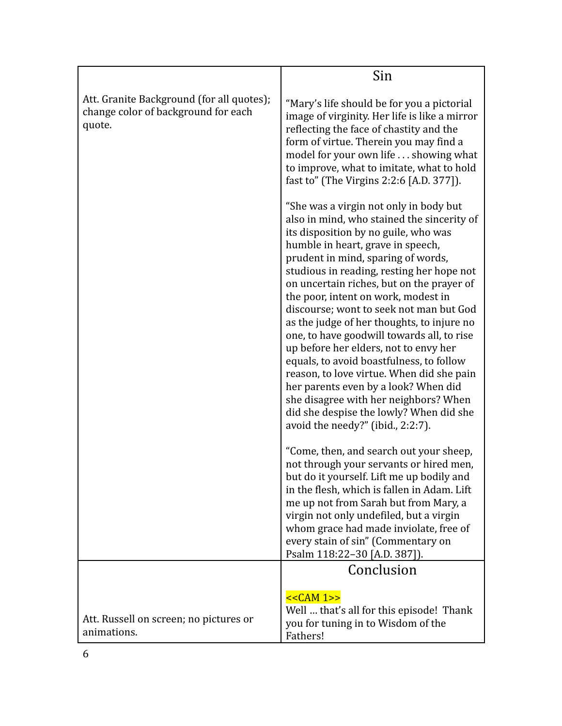|                                                                                            | Sin                                                                                                                                                                                                                                                                                                                                                                                                                                                                                                                                                                                                                                                                                                                                                                                |
|--------------------------------------------------------------------------------------------|------------------------------------------------------------------------------------------------------------------------------------------------------------------------------------------------------------------------------------------------------------------------------------------------------------------------------------------------------------------------------------------------------------------------------------------------------------------------------------------------------------------------------------------------------------------------------------------------------------------------------------------------------------------------------------------------------------------------------------------------------------------------------------|
| Att. Granite Background (for all quotes);<br>change color of background for each<br>quote. | "Mary's life should be for you a pictorial<br>image of virginity. Her life is like a mirror<br>reflecting the face of chastity and the<br>form of virtue. Therein you may find a<br>model for your own life  showing what<br>to improve, what to imitate, what to hold<br>fast to" (The Virgins 2:2:6 [A.D. 377]).                                                                                                                                                                                                                                                                                                                                                                                                                                                                 |
|                                                                                            | "She was a virgin not only in body but<br>also in mind, who stained the sincerity of<br>its disposition by no guile, who was<br>humble in heart, grave in speech,<br>prudent in mind, sparing of words,<br>studious in reading, resting her hope not<br>on uncertain riches, but on the prayer of<br>the poor, intent on work, modest in<br>discourse; wont to seek not man but God<br>as the judge of her thoughts, to injure no<br>one, to have goodwill towards all, to rise<br>up before her elders, not to envy her<br>equals, to avoid boastfulness, to follow<br>reason, to love virtue. When did she pain<br>her parents even by a look? When did<br>she disagree with her neighbors? When<br>did she despise the lowly? When did she<br>avoid the needy?" (ibid., 2:2:7). |
|                                                                                            | "Come, then, and search out your sheep,<br>not through your servants or hired men,<br>but do it yourself. Lift me up bodily and<br>in the flesh, which is fallen in Adam. Lift<br>me up not from Sarah but from Mary, a<br>virgin not only undefiled, but a virgin<br>whom grace had made inviolate, free of<br>every stain of sin" (Commentary on<br>Psalm 118:22-30 [A.D. 387]).                                                                                                                                                                                                                                                                                                                                                                                                 |
|                                                                                            | Conclusion                                                                                                                                                                                                                                                                                                                                                                                                                                                                                                                                                                                                                                                                                                                                                                         |
| Att. Russell on screen; no pictures or<br>animations.                                      | $<<CAM 1>>$<br>Well  that's all for this episode! Thank<br>you for tuning in to Wisdom of the<br>Fathers!                                                                                                                                                                                                                                                                                                                                                                                                                                                                                                                                                                                                                                                                          |